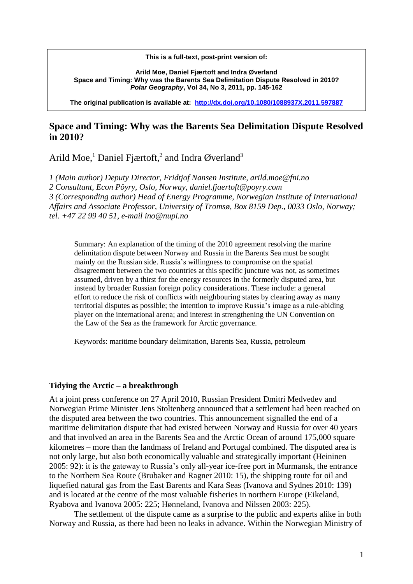**This is a full-text, post-print version of:**

**Arild Moe, Daniel Fjærtoft and Indra Øverland Space and Timing: Why was the Barents Sea Delimitation Dispute Resolved in 2010?** *Polar Geography***, Vol 34, No 3, 2011, pp. 145-162**

**The original publication is available at: <http://dx.doi.org/10.1080/1088937X.2011.597887>**

# **Space and Timing: Why was the Barents Sea Delimitation Dispute Resolved in 2010?**

Arild Moe,<sup>1</sup> Daniel Fjærtoft,<sup>2</sup> and Indra Øverland<sup>3</sup>

*1 (Main author) Deputy Director, Fridtjof Nansen Institute, arild.moe@fni.no*

*2 Consultant, Econ Pöyry, Oslo, Norway, daniel.fjaertoft@poyry.com*

*3 (Corresponding author) Head of Energy Programme, Norwegian Institute of International Affairs and Associate Professor, University of Tromsø, Box 8159 Dep., 0033 Oslo, Norway; tel. +47 22 99 40 51, e-mail ino@nupi.no* 

Summary: An explanation of the timing of the 2010 agreement resolving the marine delimitation dispute between Norway and Russia in the Barents Sea must be sought mainly on the Russian side. Russia's willingness to compromise on the spatial disagreement between the two countries at this specific juncture was not, as sometimes assumed, driven by a thirst for the energy resources in the formerly disputed area, but instead by broader Russian foreign policy considerations. These include: a general effort to reduce the risk of conflicts with neighbouring states by clearing away as many territorial disputes as possible; the intention to improve Russia's image as a rule-abiding player on the international arena; and interest in strengthening the UN Convention on the Law of the Sea as the framework for Arctic governance.

Keywords: maritime boundary delimitation, Barents Sea, Russia, petroleum

### **Tidying the Arctic – a breakthrough**

At a joint press conference on 27 April 2010, Russian President Dmitri Medvedev and Norwegian Prime Minister Jens Stoltenberg announced that a settlement had been reached on the disputed area between the two countries. This announcement signalled the end of a maritime delimitation dispute that had existed between Norway and Russia for over 40 years and that involved an area in the Barents Sea and the Arctic Ocean of around 175,000 square kilometres – more than the landmass of Ireland and Portugal combined. The disputed area is not only large, but also both economically valuable and strategically important (Heininen 2005: 92): it is the gateway to Russia's only all-year ice-free port in Murmansk, the entrance to the Northern Sea Route (Brubaker and Ragner 2010: 15), the shipping route for oil and liquefied natural gas from the East Barents and Kara Seas (Ivanova and Sydnes 2010: 139) and is located at the centre of the most valuable fisheries in northern Europe (Eikeland, Ryabova and Ivanova 2005: 225; Hønneland, Ivanova and Nilssen 2003: 225).

The settlement of the dispute came as a surprise to the public and experts alike in both Norway and Russia, as there had been no leaks in advance. Within the Norwegian Ministry of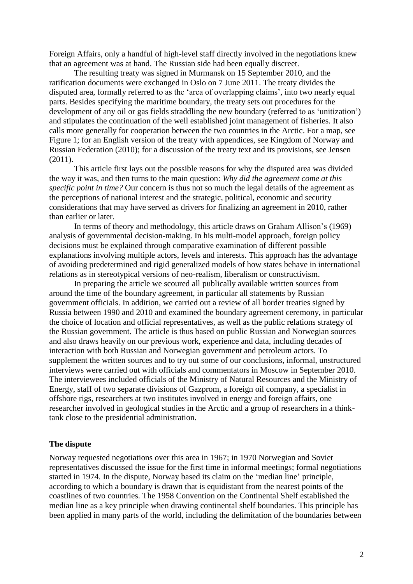Foreign Affairs, only a handful of high-level staff directly involved in the negotiations knew that an agreement was at hand. The Russian side had been equally discreet.

The resulting treaty was signed in Murmansk on 15 September 2010, and the ratification documents were exchanged in Oslo on 7 June 2011. The treaty divides the disputed area, formally referred to as the 'area of overlapping claims', into two nearly equal parts. Besides specifying the maritime boundary, the treaty sets out procedures for the development of any oil or gas fields straddling the new boundary (referred to as 'unitization') and stipulates the continuation of the well established joint management of fisheries. It also calls more generally for cooperation between the two countries in the Arctic. For a map, see Figure 1; for an English version of the treaty with appendices, see Kingdom of Norway and Russian Federation (2010); for a discussion of the treaty text and its provisions, see Jensen (2011).

This article first lays out the possible reasons for why the disputed area was divided the way it was, and then turns to the main question: *Why did the agreement come at this specific point in time?* Our concern is thus not so much the legal details of the agreement as the perceptions of national interest and the strategic, political, economic and security considerations that may have served as drivers for finalizing an agreement in 2010, rather than earlier or later.

In terms of theory and methodology, this article draws on Graham Allison's (1969) analysis of governmental decision-making. In his multi-model approach, foreign policy decisions must be explained through comparative examination of different possible explanations involving multiple actors, levels and interests. This approach has the advantage of avoiding predetermined and rigid generalized models of how states behave in international relations as in stereotypical versions of neo-realism, liberalism or constructivism.

In preparing the article we scoured all publically available written sources from around the time of the boundary agreement, in particular all statements by Russian government officials. In addition, we carried out a review of all border treaties signed by Russia between 1990 and 2010 and examined the boundary agreement ceremony, in particular the choice of location and official representatives, as well as the public relations strategy of the Russian government. The article is thus based on public Russian and Norwegian sources and also draws heavily on our previous work, experience and data, including decades of interaction with both Russian and Norwegian government and petroleum actors. To supplement the written sources and to try out some of our conclusions, informal, unstructured interviews were carried out with officials and commentators in Moscow in September 2010. The interviewees included officials of the Ministry of Natural Resources and the Ministry of Energy, staff of two separate divisions of Gazprom, a foreign oil company, a specialist in offshore rigs, researchers at two institutes involved in energy and foreign affairs, one researcher involved in geological studies in the Arctic and a group of researchers in a thinktank close to the presidential administration.

### **The dispute**

Norway requested negotiations over this area in 1967; in 1970 Norwegian and Soviet representatives discussed the issue for the first time in informal meetings; formal negotiations started in 1974. In the dispute, Norway based its claim on the 'median line' principle, according to which a boundary is drawn that is equidistant from the nearest points of the coastlines of two countries. The 1958 Convention on the Continental Shelf established the median line as a key principle when drawing continental shelf boundaries. This principle has been applied in many parts of the world, including the delimitation of the boundaries between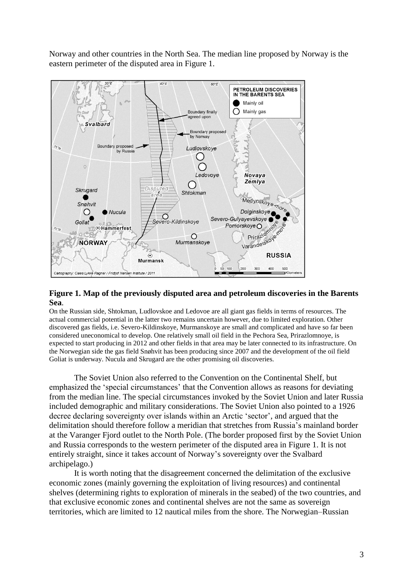Norway and other countries in the North Sea. The median line proposed by Norway is the eastern perimeter of the disputed area in Figure 1.



# **Figure 1. Map of the previously disputed area and petroleum discoveries in the Barents Sea**.

On the Russian side, Shtokman, Ludlovskoe and Ledovoe are all giant gas fields in terms of resources. The actual commercial potential in the latter two remains uncertain however, due to limited exploration. Other discovered gas fields, i.e. Severo-Kildinskoye, Murmanskoye are small and complicated and have so far been considered uneconomical to develop. One relatively small oil field in the Pechora Sea, Prirazlomnoye, is expected to start producing in 2012 and other fields in that area may be later connected to its infrastructure. On the Norwegian side the gas field Snøhvit has been producing since 2007 and the development of the oil field Goliat is underway. Nucula and Skrugard are the other promising oil discoveries.

The Soviet Union also referred to the Convention on the Continental Shelf, but emphasized the 'special circumstances' that the Convention allows as reasons for deviating from the median line. The special circumstances invoked by the Soviet Union and later Russia included demographic and military considerations. The Soviet Union also pointed to a 1926 decree declaring sovereignty over islands within an Arctic 'sector', and argued that the delimitation should therefore follow a meridian that stretches from Russia's mainland border at the Varanger Fjord outlet to the North Pole. (The border proposed first by the Soviet Union and Russia corresponds to the western perimeter of the disputed area in Figure 1. It is not entirely straight, since it takes account of Norway's sovereignty over the Svalbard archipelago.)

It is worth noting that the disagreement concerned the delimitation of the exclusive economic zones (mainly governing the exploitation of living resources) and continental shelves (determining rights to exploration of minerals in the seabed) of the two countries, and that exclusive economic zones and continental shelves are not the same as sovereign territories, which are limited to 12 nautical miles from the shore. The Norwegian–Russian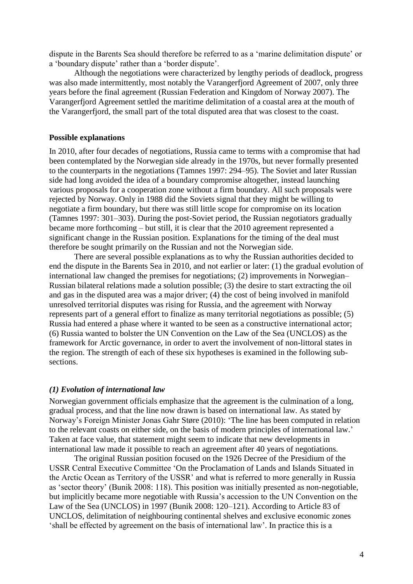dispute in the Barents Sea should therefore be referred to as a 'marine delimitation dispute' or a 'boundary dispute' rather than a 'border dispute'.

Although the negotiations were characterized by lengthy periods of deadlock, progress was also made intermittently, most notably the Varangerfjord Agreement of 2007, only three years before the final agreement (Russian Federation and Kingdom of Norway 2007). The Varangerfjord Agreement settled the maritime delimitation of a coastal area at the mouth of the Varangerfjord, the small part of the total disputed area that was closest to the coast.

# **Possible explanations**

In 2010, after four decades of negotiations, Russia came to terms with a compromise that had been contemplated by the Norwegian side already in the 1970s, but never formally presented to the counterparts in the negotiations (Tamnes 1997: 294–95). The Soviet and later Russian side had long avoided the idea of a boundary compromise altogether, instead launching various proposals for a cooperation zone without a firm boundary. All such proposals were rejected by Norway. Only in 1988 did the Soviets signal that they might be willing to negotiate a firm boundary, but there was still little scope for compromise on its location (Tamnes 1997: 301–303). During the post-Soviet period, the Russian negotiators gradually became more forthcoming – but still, it is clear that the 2010 agreement represented a significant change in the Russian position. Explanations for the timing of the deal must therefore be sought primarily on the Russian and not the Norwegian side.

There are several possible explanations as to why the Russian authorities decided to end the dispute in the Barents Sea in 2010, and not earlier or later: (1) the gradual evolution of international law changed the premises for negotiations; (2) improvements in Norwegian– Russian bilateral relations made a solution possible; (3) the desire to start extracting the oil and gas in the disputed area was a major driver; (4) the cost of being involved in manifold unresolved territorial disputes was rising for Russia, and the agreement with Norway represents part of a general effort to finalize as many territorial negotiations as possible; (5) Russia had entered a phase where it wanted to be seen as a constructive international actor; (6) Russia wanted to bolster the UN Convention on the Law of the Sea (UNCLOS) as the framework for Arctic governance, in order to avert the involvement of non-littoral states in the region. The strength of each of these six hypotheses is examined in the following subsections.

### *(1) Evolution of international law*

Norwegian government officials emphasize that the agreement is the culmination of a long, gradual process, and that the line now drawn is based on international law. As stated by Norway's Foreign Minister Jonas Gahr Støre (2010): 'The line has been computed in relation to the relevant coasts on either side, on the basis of modern principles of international law.' Taken at face value, that statement might seem to indicate that new developments in international law made it possible to reach an agreement after 40 years of negotiations.

The original Russian position focused on the 1926 Decree of the Presidium of the USSR Central Executive Committee 'On the Proclamation of Lands and Islands Situated in the Arctic Ocean as Territory of the USSR' and what is referred to more generally in Russia as 'sector theory' (Bunik 2008: 118). This position was initially presented as non-negotiable, but implicitly became more negotiable with Russia's accession to the UN Convention on the Law of the Sea (UNCLOS) in 1997 (Bunik 2008: 120–121). According to Article 83 of UNCLOS, delimitation of neighbouring continental shelves and exclusive economic zones 'shall be effected by agreement on the basis of international law'. In practice this is a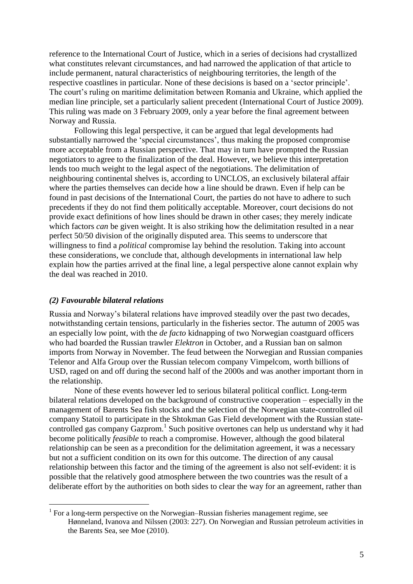reference to the International Court of Justice, which in a series of decisions had crystallized what constitutes relevant circumstances, and had narrowed the application of that article to include permanent, natural characteristics of neighbouring territories, the length of the respective coastlines in particular. None of these decisions is based on a 'sector principle'. The court's ruling on maritime delimitation between Romania and Ukraine, which applied the median line principle, set a particularly salient precedent (International Court of Justice 2009). This ruling was made on 3 February 2009, only a year before the final agreement between Norway and Russia.

Following this legal perspective, it can be argued that legal developments had substantially narrowed the 'special circumstances', thus making the proposed compromise more acceptable from a Russian perspective. That may in turn have prompted the Russian negotiators to agree to the finalization of the deal. However, we believe this interpretation lends too much weight to the legal aspect of the negotiations. The delimitation of neighbouring continental shelves is, according to UNCLOS, an exclusively bilateral affair where the parties themselves can decide how a line should be drawn. Even if help can be found in past decisions of the International Court, the parties do not have to adhere to such precedents if they do not find them politically acceptable. Moreover, court decisions do not provide exact definitions of how lines should be drawn in other cases; they merely indicate which factors *can* be given weight. It is also striking how the delimitation resulted in a near perfect 50/50 division of the originally disputed area. This seems to underscore that willingness to find a *political* compromise lay behind the resolution. Taking into account these considerations, we conclude that, although developments in international law help explain how the parties arrived at the final line, a legal perspective alone cannot explain why the deal was reached in 2010.

# *(2) Favourable bilateral relations*

 $\overline{a}$ 

Russia and Norway's bilateral relations have improved steadily over the past two decades, notwithstanding certain tensions, particularly in the fisheries sector. The autumn of 2005 was an especially low point, with the *de facto* kidnapping of two Norwegian coastguard officers who had boarded the Russian trawler *Elektron* in October, and a Russian ban on salmon imports from Norway in November. The feud between the Norwegian and Russian companies Telenor and Alfa Group over the Russian telecom company Vimpelcom, worth billions of USD, raged on and off during the second half of the 2000s and was another important thorn in the relationship.

None of these events however led to serious bilateral political conflict. Long-term bilateral relations developed on the background of constructive cooperation – especially in the management of Barents Sea fish stocks and the selection of the Norwegian state-controlled oil company Statoil to participate in the Shtokman Gas Field development with the Russian statecontrolled gas company Gazprom.<sup>1</sup> Such positive overtones can help us understand why it had become politically *feasible* to reach a compromise. However, although the good bilateral relationship can be seen as a precondition for the delimitation agreement, it was a necessary but not a sufficient condition on its own for this outcome. The direction of any causal relationship between this factor and the timing of the agreement is also not self-evident: it is possible that the relatively good atmosphere between the two countries was the result of a deliberate effort by the authorities on both sides to clear the way for an agreement, rather than

<sup>&</sup>lt;sup>1</sup> For a long-term perspective on the Norwegian–Russian fisheries management regime, see Hønneland, Ivanova and Nilssen (2003: 227). On Norwegian and Russian petroleum activities in the Barents Sea, see Moe (2010).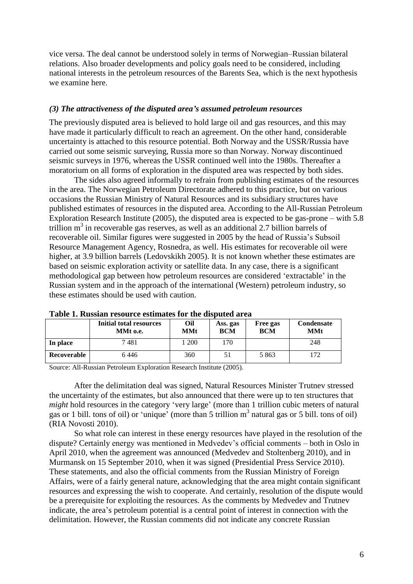vice versa. The deal cannot be understood solely in terms of Norwegian–Russian bilateral relations. Also broader developments and policy goals need to be considered, including national interests in the petroleum resources of the Barents Sea, which is the next hypothesis we examine here.

## *(3) The attractiveness of the disputed area's assumed petroleum resources*

The previously disputed area is believed to hold large oil and gas resources, and this may have made it particularly difficult to reach an agreement. On the other hand, considerable uncertainty is attached to this resource potential. Both Norway and the USSR/Russia have carried out some seismic surveying, Russia more so than Norway. Norway discontinued seismic surveys in 1976, whereas the USSR continued well into the 1980s. Thereafter a moratorium on all forms of exploration in the disputed area was respected by both sides.

The sides also agreed informally to refrain from publishing estimates of the resources in the area. The Norwegian Petroleum Directorate adhered to this practice, but on various occasions the Russian Ministry of Natural Resources and its subsidiary structures have published estimates of resources in the disputed area. According to the All-Russian Petroleum Exploration Research Institute (2005), the disputed area is expected to be gas-prone – with 5.8 trillion  $m<sup>3</sup>$  in recoverable gas reserves, as well as an additional 2.7 billion barrels of recoverable oil. Similar figures were suggested in 2005 by the head of Russia's Subsoil Resource Management Agency, Rosnedra, as well. His estimates for recoverable oil were higher, at 3.9 billion barrels (Ledovskikh 2005). It is not known whether these estimates are based on seismic exploration activity or satellite data. In any case, there is a significant methodological gap between how petroleum resources are considered 'extractable' in the Russian system and in the approach of the international (Western) petroleum industry, so these estimates should be used with caution.

|             | Initial total resources<br>MMt o.e. | Oil<br><b>MMt</b> | Ass. gas<br><b>BCM</b> | Free gas<br><b>BCM</b> | <b>Condensate</b><br><b>MMt</b> |
|-------------|-------------------------------------|-------------------|------------------------|------------------------|---------------------------------|
| In place    | 7481                                | 200               | 170                    |                        | 248                             |
| Recoverable | 6446                                | 360               |                        | 5 863                  | 172                             |

**Table 1. Russian resource estimates for the disputed area**

Source: All-Russian Petroleum Exploration Research Institute (2005).

After the delimitation deal was signed, Natural Resources Minister Trutnev stressed the uncertainty of the estimates, but also announced that there were up to ten structures that *might* hold resources in the category 'very large' (more than 1 trillion cubic meters of natural gas or 1 bill. tons of oil) or 'unique' (more than 5 trillion  $m<sup>3</sup>$  natural gas or 5 bill. tons of oil) (RIA Novosti 2010).

So what role can interest in these energy resources have played in the resolution of the dispute? Certainly energy was mentioned in Medvedev's official comments – both in Oslo in April 2010, when the agreement was announced (Medvedev and Stoltenberg 2010), and in Murmansk on 15 September 2010, when it was signed (Presidential Press Service 2010). These statements, and also the official comments from the Russian Ministry of Foreign Affairs, were of a fairly general nature, acknowledging that the area might contain significant resources and expressing the wish to cooperate. And certainly, resolution of the dispute would be a prerequisite for exploiting the resources. As the comments by Medvedev and Trutnev indicate, the area's petroleum potential is a central point of interest in connection with the delimitation. However, the Russian comments did not indicate any concrete Russian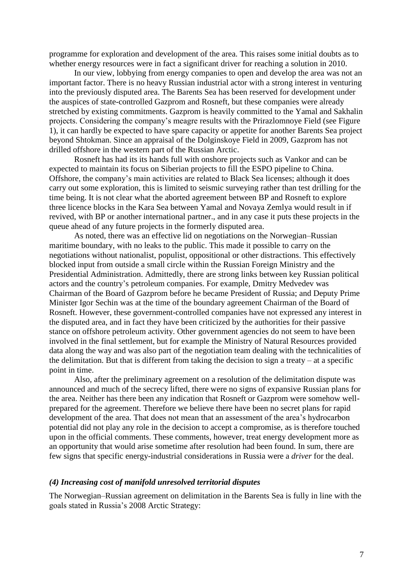programme for exploration and development of the area. This raises some initial doubts as to whether energy resources were in fact a significant driver for reaching a solution in 2010.

In our view, lobbying from energy companies to open and develop the area was not an important factor. There is no heavy Russian industrial actor with a strong interest in venturing into the previously disputed area. The Barents Sea has been reserved for development under the auspices of state-controlled Gazprom and Rosneft, but these companies were already stretched by existing commitments. Gazprom is heavily committed to the Yamal and Sakhalin projects. Considering the company's meagre results with the Prirazlomnoye Field (see Figure 1), it can hardly be expected to have spare capacity or appetite for another Barents Sea project beyond Shtokman. Since an appraisal of the Dolginskoye Field in 2009, Gazprom has not drilled offshore in the western part of the Russian Arctic.

Rosneft has had its its hands full with onshore projects such as Vankor and can be expected to maintain its focus on Siberian projects to fill the ESPO pipeline to China. Offshore, the company's main activities are related to Black Sea licenses; although it does carry out some exploration, this is limited to seismic surveying rather than test drilling for the time being. It is not clear what the aborted agreement between BP and Rosneft to explore three licence blocks in the Kara Sea between Yamal and Novaya Zemlya would result in if revived, with BP or another international partner., and in any case it puts these projects in the queue ahead of any future projects in the formerly disputed area.

As noted, there was an effective lid on negotiations on the Norwegian–Russian maritime boundary, with no leaks to the public. This made it possible to carry on the negotiations without nationalist, populist, oppositional or other distractions. This effectively blocked input from outside a small circle within the Russian Foreign Ministry and the Presidential Administration. Admittedly, there are strong links between key Russian political actors and the country's petroleum companies. For example, Dmitry Medvedev was Chairman of the Board of Gazprom before he became President of Russia; and Deputy Prime Minister Igor Sechin was at the time of the boundary agreement Chairman of the Board of Rosneft. However, these government-controlled companies have not expressed any interest in the disputed area, and in fact they have been criticized by the authorities for their passive stance on offshore petroleum activity. Other government agencies do not seem to have been involved in the final settlement, but for example the Ministry of Natural Resources provided data along the way and was also part of the negotiation team dealing with the technicalities of the delimitation. But that is different from taking the decision to sign a treaty  $-$  at a specific point in time.

Also, after the preliminary agreement on a resolution of the delimitation dispute was announced and much of the secrecy lifted, there were no signs of expansive Russian plans for the area. Neither has there been any indication that Rosneft or Gazprom were somehow wellprepared for the agreement. Therefore we believe there have been no secret plans for rapid development of the area. That does not mean that an assessment of the area's hydrocarbon potential did not play any role in the decision to accept a compromise, as is therefore touched upon in the official comments. These comments, however, treat energy development more as an opportunity that would arise sometime after resolution had been found. In sum, there are few signs that specific energy-industrial considerations in Russia were a *driver* for the deal.

# *(4) Increasing cost of manifold unresolved territorial disputes*

The Norwegian–Russian agreement on delimitation in the Barents Sea is fully in line with the goals stated in Russia's 2008 Arctic Strategy: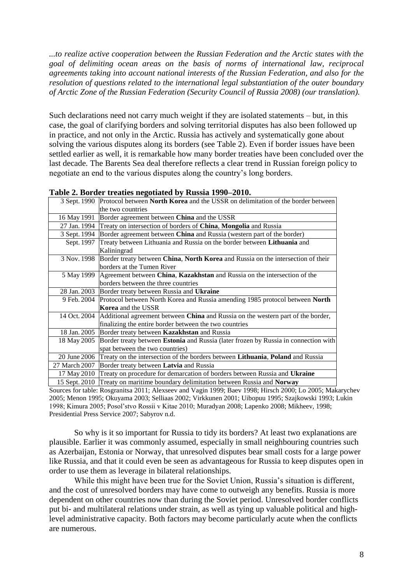*...to realize active cooperation between the Russian Federation and the Arctic states with the goal of delimiting ocean areas on the basis of norms of international law, reciprocal agreements taking into account national interests of the Russian Federation, and also for the resolution of questions related to the international legal substantiation of the outer boundary of Arctic Zone of the Russian Federation (Security Council of Russia 2008) (our translation).*

Such declarations need not carry much weight if they are isolated statements – but, in this case, the goal of clarifying borders and solving territorial disputes has also been followed up in practice, and not only in the Arctic. Russia has actively and systematically gone about solving the various disputes along its borders (see Table 2). Even if border issues have been settled earlier as well, it is remarkable how many border treaties have been concluded over the last decade. The Barents Sea deal therefore reflects a clear trend in Russian foreign policy to negotiate an end to the various disputes along the country's long borders.

|               | 3 Sept. 1990  Protocol between North Korea and the USSR on delimitation of the border between   |  |  |
|---------------|-------------------------------------------------------------------------------------------------|--|--|
|               | the two countries                                                                               |  |  |
| 16 May 1991   | Border agreement between China and the USSR                                                     |  |  |
|               | 27 Jan. 1994 Treaty on intersection of borders of China, Mongolia and Russia                    |  |  |
| 3 Sept. 1994  | Border agreement between China and Russia (western part of the border)                          |  |  |
| Sept. 1997    | Treaty between Lithuania and Russia on the border between Lithuania and                         |  |  |
|               | Kaliningrad                                                                                     |  |  |
| 3 Nov. 1998   | Border treaty between China, North Korea and Russia on the intersection of their                |  |  |
|               | borders at the Tumen River                                                                      |  |  |
| 5 May 1999    | Agreement between China, Kazakhstan and Russia on the intersection of the                       |  |  |
|               | borders between the three countries                                                             |  |  |
|               | 28 Jan. 2003 Border treaty between Russia and Ukraine                                           |  |  |
| 9 Feb. 2004   | Protocol between North Korea and Russia amending 1985 protocol between North                    |  |  |
|               | <b>Korea</b> and the USSR                                                                       |  |  |
|               | 14 Oct. 2004   Additional agreement between China and Russia on the western part of the border, |  |  |
|               | finalizing the entire border between the two countries                                          |  |  |
|               | 18 Jan. 2005 Border treaty between Kazakhstan and Russia                                        |  |  |
| 18 May 2005   | Border treaty between Estonia and Russia (later frozen by Russia in connection with             |  |  |
|               | spat between the two countries)                                                                 |  |  |
|               | 20 June 2006 Treaty on the intersection of the borders between Lithuania, Poland and Russia     |  |  |
| 27 March 2007 | Border treaty between Latvia and Russia                                                         |  |  |
| 17 May 2010   | Treaty on procedure for demarcation of borders between Russia and Ukraine                       |  |  |
| 15 Sept. 2010 | Treaty on maritime boundary delimitation between Russia and Norway                              |  |  |

### **Table 2. Border treaties negotiated by Russia 1990–2010.**

Sources for table: Rosgranitsa 2011; Alexseev and Vagin 1999; Baev 1998; Hirsch 2000; Lo 2005; Makarychev 2005; Menon 1995; Okuyama 2003; Selliaas 2002; Virkkunen 2001; Uibopuu 1995; Szajkowski 1993; Lukin 1998; Kimura 2005; Posol'stvo Rossii v Kitae 2010; Muradyan 2008; Lapenko 2008; Mikheev, 1998; Presidential Press Service 2007; Sabyrov n.d.

So why is it so important for Russia to tidy its borders? At least two explanations are plausible. Earlier it was commonly assumed, especially in small neighbouring countries such as Azerbaijan, Estonia or Norway, that unresolved disputes bear small costs for a large power like Russia, and that it could even be seen as advantageous for Russia to keep disputes open in order to use them as leverage in bilateral relationships.

While this might have been true for the Soviet Union, Russia's situation is different, and the cost of unresolved borders may have come to outweigh any benefits. Russia is more dependent on other countries now than during the Soviet period. Unresolved border conflicts put bi- and multilateral relations under strain, as well as tying up valuable political and highlevel administrative capacity. Both factors may become particularly acute when the conflicts are numerous.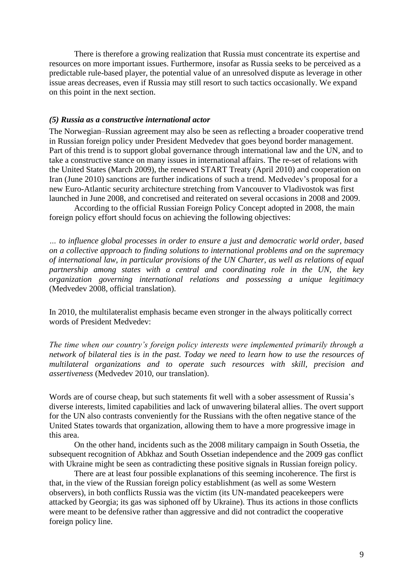There is therefore a growing realization that Russia must concentrate its expertise and resources on more important issues. Furthermore, insofar as Russia seeks to be perceived as a predictable rule-based player, the potential value of an unresolved dispute as leverage in other issue areas decreases, even if Russia may still resort to such tactics occasionally. We expand on this point in the next section.

### *(5) Russia as a constructive international actor*

The Norwegian–Russian agreement may also be seen as reflecting a broader cooperative trend in Russian foreign policy under President Medvedev that goes beyond border management. Part of this trend is to support global governance through international law and the UN, and to take a constructive stance on many issues in international affairs. The re-set of relations with the United States (March 2009), the renewed START Treaty (April 2010) and cooperation on Iran (June 2010) sanctions are further indications of such a trend. Medvedev's proposal for a new Euro-Atlantic security architecture stretching from Vancouver to Vladivostok was first launched in June 2008, and concretised and reiterated on several occasions in 2008 and 2009.

According to the official Russian Foreign Policy Concept adopted in 2008, the main foreign policy effort should focus on achieving the following objectives:

*… to influence global processes in order to ensure a just and democratic world order, based on a collective approach to finding solutions to international problems and on the supremacy of international law, in particular provisions of the UN Charter, as well as relations of equal partnership among states with a central and coordinating role in the UN, the key organization governing international relations and possessing a unique legitimacy* (Medvedev 2008, official translation).

In 2010, the multilateralist emphasis became even stronger in the always politically correct words of President Medvedev:

*The time when our country's foreign policy interests were implemented primarily through a network of bilateral ties is in the past. Today we need to learn how to use the resources of multilateral organizations and to operate such resources with skill, precision and assertiveness* (Medvedev 2010, our translation).

Words are of course cheap, but such statements fit well with a sober assessment of Russia's diverse interests, limited capabilities and lack of unwavering bilateral allies. The overt support for the UN also contrasts conveniently for the Russians with the often negative stance of the United States towards that organization, allowing them to have a more progressive image in this area.

On the other hand, incidents such as the 2008 military campaign in South Ossetia, the subsequent recognition of Abkhaz and South Ossetian independence and the 2009 gas conflict with Ukraine might be seen as contradicting these positive signals in Russian foreign policy.

There are at least four possible explanations of this seeming incoherence. The first is that, in the view of the Russian foreign policy establishment (as well as some Western observers), in both conflicts Russia was the victim (its UN-mandated peacekeepers were attacked by Georgia; its gas was siphoned off by Ukraine). Thus its actions in those conflicts were meant to be defensive rather than aggressive and did not contradict the cooperative foreign policy line.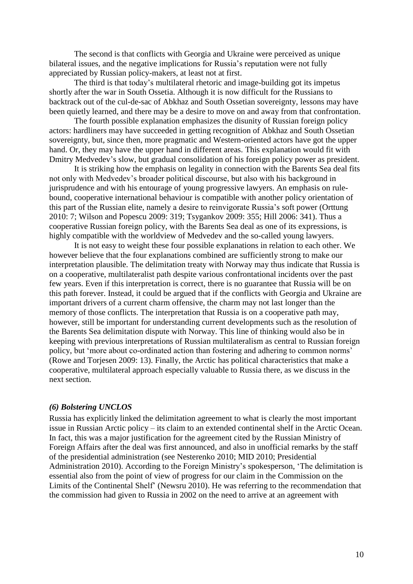The second is that conflicts with Georgia and Ukraine were perceived as unique bilateral issues, and the negative implications for Russia's reputation were not fully appreciated by Russian policy-makers, at least not at first.

The third is that today's multilateral rhetoric and image-building got its impetus shortly after the war in South Ossetia. Although it is now difficult for the Russians to backtrack out of the cul-de-sac of Abkhaz and South Ossetian sovereignty, lessons may have been quietly learned, and there may be a desire to move on and away from that confrontation.

The fourth possible explanation emphasizes the disunity of Russian foreign policy actors: hardliners may have succeeded in getting recognition of Abkhaz and South Ossetian sovereignty, but, since then, more pragmatic and Western-oriented actors have got the upper hand. Or, they may have the upper hand in different areas. This explanation would fit with Dmitry Medvedev's slow, but gradual consolidation of his foreign policy power as president.

It is striking how the emphasis on legality in connection with the Barents Sea deal fits not only with Medvedev's broader political discourse, but also with his background in jurisprudence and with his entourage of young progressive lawyers. An emphasis on rulebound, cooperative international behaviour is compatible with another policy orientation of this part of the Russian elite, namely a desire to reinvigorate Russia's soft power (Orttung 2010: 7; Wilson and Popescu 2009: 319; Tsygankov 2009: 355; Hill 2006: 341). Thus a cooperative Russian foreign policy, with the Barents Sea deal as one of its expressions, is highly compatible with the worldview of Medvedev and the so-called young lawyers.

It is not easy to weight these four possible explanations in relation to each other. We however believe that the four explanations combined are sufficiently strong to make our interpretation plausible. The delimitation treaty with Norway may thus indicate that Russia is on a cooperative, multilateralist path despite various confrontational incidents over the past few years. Even if this interpretation is correct, there is no guarantee that Russia will be on this path forever. Instead, it could be argued that if the conflicts with Georgia and Ukraine are important drivers of a current charm offensive, the charm may not last longer than the memory of those conflicts. The interpretation that Russia is on a cooperative path may, however, still be important for understanding current developments such as the resolution of the Barents Sea delimitation dispute with Norway. This line of thinking would also be in keeping with previous interpretations of Russian multilateralism as central to Russian foreign policy, but 'more about co-ordinated action than fostering and adhering to common norms' (Rowe and Torjesen 2009: 13). Finally, the Arctic has political characteristics that make a cooperative, multilateral approach especially valuable to Russia there, as we discuss in the next section.

### *(6) Bolstering UNCLOS*

Russia has explicitly linked the delimitation agreement to what is clearly the most important issue in Russian Arctic policy – its claim to an extended continental shelf in the Arctic Ocean. In fact, this was a major justification for the agreement cited by the Russian Ministry of Foreign Affairs after the deal was first announced, and also in unofficial remarks by the staff of the presidential administration (see Nesterenko 2010; MID 2010; Presidential Administration 2010). According to the Foreign Ministry's spokesperson, 'The delimitation is essential also from the point of view of progress for our claim in the Commission on the Limits of the Continental Shelf' (Newsru 2010). He was referring to the recommendation that the commission had given to Russia in 2002 on the need to arrive at an agreement with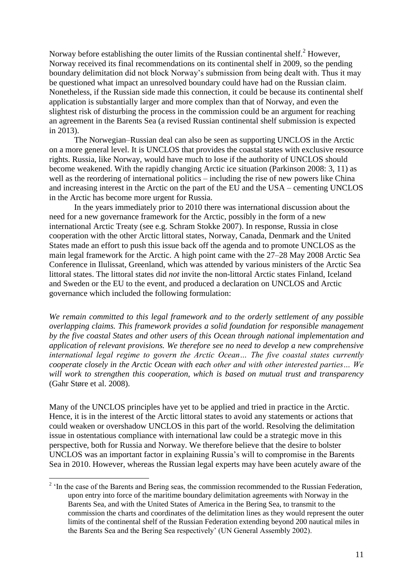Norway before establishing the outer limits of the Russian continental shelf.<sup>2</sup> However, Norway received its final recommendations on its continental shelf in 2009, so the pending boundary delimitation did not block Norway's submission from being dealt with. Thus it may be questioned what impact an unresolved boundary could have had on the Russian claim. Nonetheless, if the Russian side made this connection, it could be because its continental shelf application is substantially larger and more complex than that of Norway, and even the slightest risk of disturbing the process in the commission could be an argument for reaching an agreement in the Barents Sea (a revised Russian continental shelf submission is expected in 2013).

The Norwegian–Russian deal can also be seen as supporting UNCLOS in the Arctic on a more general level. It is UNCLOS that provides the coastal states with exclusive resource rights. Russia, like Norway, would have much to lose if the authority of UNCLOS should become weakened. With the rapidly changing Arctic ice situation (Parkinson 2008: 3, 11) as well as the reordering of international politics – including the rise of new powers like China and increasing interest in the Arctic on the part of the EU and the USA – cementing UNCLOS in the Arctic has become more urgent for Russia.

In the years immediately prior to 2010 there was international discussion about the need for a new governance framework for the Arctic, possibly in the form of a new international Arctic Treaty (see e.g. Schram Stokke 2007). In response, Russia in close cooperation with the other Arctic littoral states, Norway, Canada, Denmark and the United States made an effort to push this issue back off the agenda and to promote UNCLOS as the main legal framework for the Arctic. A high point came with the 27–28 May 2008 Arctic Sea Conference in Ilulissat, Greenland, which was attended by various ministers of the Arctic Sea littoral states. The littoral states did *not* invite the non-littoral Arctic states Finland, Iceland and Sweden or the EU to the event, and produced a declaration on UNCLOS and Arctic governance which included the following formulation:

*We remain committed to this legal framework and to the orderly settlement of any possible overlapping claims. This framework provides a solid foundation for responsible management by the five coastal States and other users of this Ocean through national implementation and application of relevant provisions. We therefore see no need to develop a new comprehensive international legal regime to govern the Arctic Ocean… The five coastal states currently cooperate closely in the Arctic Ocean with each other and with other interested parties… We will work to strengthen this cooperation, which is based on mutual trust and transparency* (Gahr Støre et al. 2008).

Many of the UNCLOS principles have yet to be applied and tried in practice in the Arctic. Hence, it is in the interest of the Arctic littoral states to avoid any statements or actions that could weaken or overshadow UNCLOS in this part of the world. Resolving the delimitation issue in ostentatious compliance with international law could be a strategic move in this perspective, both for Russia and Norway. We therefore believe that the desire to bolster UNCLOS was an important factor in explaining Russia's will to compromise in the Barents Sea in 2010. However, whereas the Russian legal experts may have been acutely aware of the

 $\overline{a}$ 

<sup>&</sup>lt;sup>2</sup> 'In the case of the Barents and Bering seas, the commission recommended to the Russian Federation, upon entry into force of the maritime boundary delimitation agreements with Norway in the Barents Sea, and with the United States of America in the Bering Sea, to transmit to the commission the charts and coordinates of the delimitation lines as they would represent the outer limits of the continental shelf of the Russian Federation extending beyond 200 nautical miles in the Barents Sea and the Bering Sea respectively' (UN General Assembly 2002).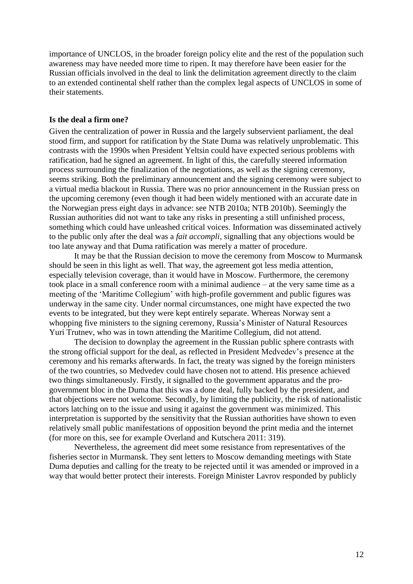importance of UNCLOS, in the broader foreign policy elite and the rest of the population such awareness may have needed more time to ripen. It may therefore have been easier for the Russian officials involved in the deal to link the delimitation agreement directly to the claim to an extended continental shelf rather than the complex legal aspects of UNCLOS in some of their statements.

### **Is the deal a firm one?**

Given the centralization of power in Russia and the largely subservient parliament, the deal stood firm, and support for ratification by the State Duma was relatively unproblematic. This contrasts with the 1990s when President Yeltsin could have expected serious problems with ratification, had he signed an agreement. In light of this, the carefully steered information process surrounding the finalization of the negotiations, as well as the signing ceremony, seems striking. Both the preliminary announcement and the signing ceremony were subject to a virtual media blackout in Russia. There was no prior announcement in the Russian press on the upcoming ceremony (even though it had been widely mentioned with an accurate date in the Norwegian press eight days in advance: see NTB 2010a; NTB 2010b). Seemingly the Russian authorities did not want to take any risks in presenting a still unfinished process, something which could have unleashed critical voices. Information was disseminated actively to the public only after the deal was a *fait accompli*, signalling that any objections would be too late anyway and that Duma ratification was merely a matter of procedure.

It may be that the Russian decision to move the ceremony from Moscow to Murmansk should be seen in this light as well. That way, the agreement got less media attention, especially television coverage, than it would have in Moscow. Furthermore, the ceremony took place in a small conference room with a minimal audience – at the very same time as a meeting of the 'Maritime Collegium' with high-profile government and public figures was underway in the same city. Under normal circumstances, one might have expected the two events to be integrated, but they were kept entirely separate. Whereas Norway sent a whopping five ministers to the signing ceremony, Russia's Minister of Natural Resources Yuri Trutnev, who was in town attending the Maritime Collegium, did not attend.

The decision to downplay the agreement in the Russian public sphere contrasts with the strong official support for the deal, as reflected in President Medvedev's presence at the ceremony and his remarks afterwards. In fact, the treaty was signed by the foreign ministers of the two countries, so Medvedev could have chosen not to attend. His presence achieved two things simultaneously. Firstly, it signalled to the government apparatus and the progovernment bloc in the Duma that this was a done deal, fully backed by the president, and that objections were not welcome. Secondly, by limiting the publicity, the risk of nationalistic actors latching on to the issue and using it against the government was minimized. This interpretation is supported by the sensitivity that the Russian authorities have shown to even relatively small public manifestations of opposition beyond the print media and the internet (for more on this, see for example Overland and Kutschera 2011: 319).

Nevertheless, the agreement did meet some resistance from representatives of the fisheries sector in Murmansk. They sent letters to Moscow demanding meetings with State Duma deputies and calling for the treaty to be rejected until it was amended or improved in a way that would better protect their interests. Foreign Minister Lavrov responded by publicly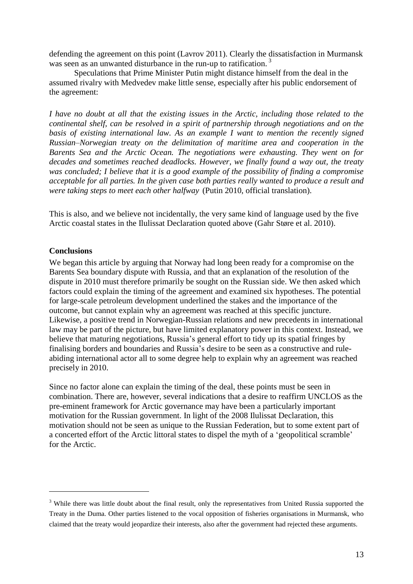defending the agreement on this point (Lavrov 2011). Clearly the dissatisfaction in Murmansk was seen as an unwanted disturbance in the run-up to ratification.<sup>3</sup>

Speculations that Prime Minister Putin might distance himself from the deal in the assumed rivalry with Medvedev make little sense, especially after his public endorsement of the agreement:

*I have no doubt at all that the existing issues in the Arctic, including those related to the continental shelf, can be resolved in a spirit of partnership through negotiations and on the basis of existing international law. As an example I want to mention the recently signed Russian–Norwegian treaty on the delimitation of maritime area and cooperation in the Barents Sea and the Arctic Ocean. The negotiations were exhausting. They went on for decades and sometimes reached deadlocks. However, we finally found a way out, the treaty was concluded; I believe that it is a good example of the possibility of finding a compromise acceptable for all parties. In the given case both parties really wanted to produce a result and were taking steps to meet each other halfway* (Putin 2010, official translation).

This is also, and we believe not incidentally, the very same kind of language used by the five Arctic coastal states in the Ilulissat Declaration quoted above (Gahr Støre et al. 2010).

## **Conclusions**

 $\overline{a}$ 

We began this article by arguing that Norway had long been ready for a compromise on the Barents Sea boundary dispute with Russia, and that an explanation of the resolution of the dispute in 2010 must therefore primarily be sought on the Russian side. We then asked which factors could explain the timing of the agreement and examined six hypotheses. The potential for large-scale petroleum development underlined the stakes and the importance of the outcome, but cannot explain why an agreement was reached at this specific juncture. Likewise, a positive trend in Norwegian-Russian relations and new precedents in international law may be part of the picture, but have limited explanatory power in this context. Instead, we believe that maturing negotiations, Russia's general effort to tidy up its spatial fringes by finalising borders and boundaries and Russia's desire to be seen as a constructive and ruleabiding international actor all to some degree help to explain why an agreement was reached precisely in 2010.

Since no factor alone can explain the timing of the deal, these points must be seen in combination. There are, however, several indications that a desire to reaffirm UNCLOS as the pre-eminent framework for Arctic governance may have been a particularly important motivation for the Russian government. In light of the 2008 Ilulissat Declaration, this motivation should not be seen as unique to the Russian Federation, but to some extent part of a concerted effort of the Arctic littoral states to dispel the myth of a 'geopolitical scramble' for the Arctic.

<sup>&</sup>lt;sup>3</sup> While there was little doubt about the final result, only the representatives from United Russia supported the Treaty in the Duma. Other parties listened to the vocal opposition of fisheries organisations in Murmansk, who claimed that the treaty would jeopardize their interests, also after the government had rejected these arguments.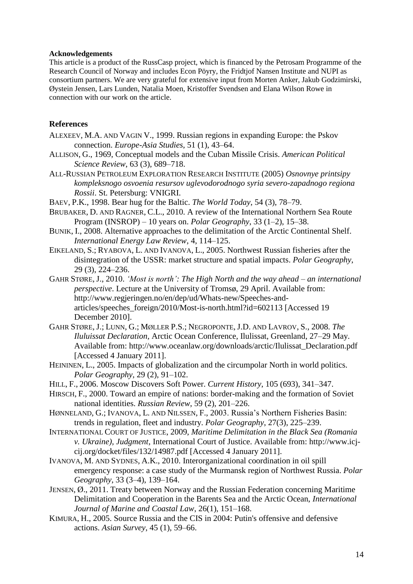## **Acknowledgements**

This article is a product of the RussCasp project, which is financed by the Petrosam Programme of the Research Council of Norway and includes Econ Pöyry, the Fridtjof Nansen Institute and NUPI as consortium partners. We are very grateful for extensive input from Morten Anker, Jakub Godzimirski, Øystein Jensen, Lars Lunden, Natalia Moen, Kristoffer Svendsen and Elana Wilson Rowe in connection with our work on the article.

# **References**

- ALEXEEV, M.A. AND VAGIN V., 1999. Russian regions in expanding Europe: the Pskov connection. *Europe-Asia Studies*, 51 (1), 43–64.
- ALLISON, G., 1969, Conceptual models and the Cuban Missile Crisis. *American Political Science Review*, 63 (3), 689–718.
- ALL-RUSSIAN PETROLEUM EXPLORATION RESEARCH INSTITUTE (2005) *Osnovnye printsipy kompleksnogo osvoenia resursov uglevodorodnogo syria severo-zapadnogo regiona Rossii*. St. Petersburg: VNIGRI.
- BAEV, P.K., 1998. Bear hug for the Baltic. *The World Today*, 54 (3), 78–79.
- BRUBAKER, D. AND RAGNER, C.L., 2010. A review of the International Northern Sea Route Program (INSROP) – 10 years on. *Polar Geography*, 33 (1–2), 15–38.
- BUNIK, I., 2008. Alternative approaches to the delimitation of the Arctic Continental Shelf. *International Energy Law Review*, 4, 114–125.
- EIKELAND, S.; RYABOVA, L. AND IVANOVA, L., 2005. Northwest Russian fisheries after the disintegration of the USSR: market structure and spatial impacts. *Polar Geography*, 29 (3), 224–236.
- GAHR STØRE, J., 2010. *'Most is north': The High North and the way ahead – an international perspective*. Lecture at the University of Tromsø, 29 April. Available from: http://www.regjeringen.no/en/dep/ud/Whats-new/Speeches-andarticles/speeches\_foreign/2010/Most-is-north.html?id=602113 [Accessed 19 December 2010].
- GAHR STØRE, J.; LUNN, G.; MØLLER P.S.; NEGROPONTE, J.D. AND LAVROV, S., 2008. *The Iluluissat Declaration,* Arctic Ocean Conference, Ilulissat, Greenland, 27–29 May. Available from: http://www.oceanlaw.org/downloads/arctic/Ilulissat\_Declaration.pdf [Accessed 4 January 2011].
- HEININEN, L., 2005. Impacts of globalization and the circumpolar North in world politics. *Polar Geography*, 29 (2), 91–102.
- HILL, F., 2006. Moscow Discovers Soft Power. *Current History*, 105 (693), 341–347.
- HIRSCH, F., 2000. Toward an empire of nations: border-making and the formation of Soviet national identities. *Russian Review*, 59 (2), 201–226.
- HØNNELAND, G.; IVANOVA, L. AND NILSSEN, F., 2003. Russia's Northern Fisheries Basin: trends in regulation, fleet and industry. *Polar Geography*, 27(3), 225–239.
- INTERNATIONAL COURT OF JUSTICE, 2009, *Maritime Delimitation in the Black Sea (Romania v. Ukraine), Judgment*, International Court of Justice. Available from: http://www.icjcij.org/docket/files/132/14987.pdf [Accessed 4 January 2011].
- IVANOVA, M. AND SYDNES, A.K., 2010. Interorganizational coordination in oil spill emergency response: a case study of the Murmansk region of Northwest Russia. *Polar Geography*, 33 (3–4), 139–164.
- JENSEN, Ø., 2011. Treaty between Norway and the Russian Federation concerning Maritime Delimitation and Cooperation in the Barents Sea and the Arctic Ocean, *International Journal of Marine and Coastal Law*, 26(1), 151–168.
- KIMURA, H., 2005. Source Russia and the CIS in 2004: Putin's offensive and defensive actions. *Asian Survey*, 45 (1), 59–66.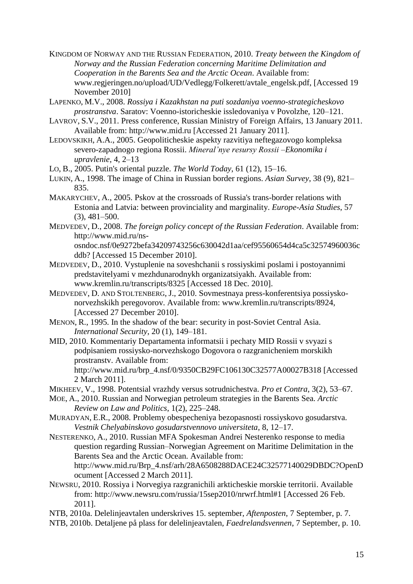KINGDOM OF NORWAY AND THE RUSSIAN FEDERATION, 2010. *Treaty between the Kingdom of Norway and the Russian Federation concerning Maritime Delimitation and Cooperation in the Barents Sea and the Arctic Ocean*. Available from: www.regjeringen.no/upload/UD/Vedlegg/Folkerett/avtale\_engelsk.pdf, [Accessed 19 November 2010]

- LAPENKO, M.V., 2008. *Rossiya i Kazakhstan na puti sozdaniya voenno-strategicheskovo prostranstva*. Saratov: Voenno-istoricheskie issledovaniya v Povolzhe, 120–121.
- LAVROV, S.V., 2011. Press conference, Russian Ministry of Foreign Affairs, 13 January 2011. Available from: http://www.mid.ru [Accessed 21 January 2011].
- LEDOVSKIKH, A.A., 2005. Geopoliticheskie aspekty razvitiya neftegazovogo kompleksa severo-zapadnogo regiona Rossii. *Mineral'nye resursy Rossii –Ekonomika i upravlenie*, 4, 2–13
- LO, B., 2005. Putin's oriental puzzle. *The World Today*, 61 (12), 15–16.
- LUKIN, A., 1998. The image of China in Russian border regions. *Asian Survey*, 38 (9), 821– 835.
- MAKARYCHEV, A., 2005. Pskov at the crossroads of Russia's trans-border relations with Estonia and Latvia: between provinciality and marginality. *Europe-Asia Studies*, 57 (3), 481–500.
- MEDVEDEV, D., 2008. *The foreign policy concept of the Russian Federation*. Available from: http://www.mid.ru/nsosndoc.nsf/0e9272befa34209743256c630042d1aa/cef95560654d4ca5c32574960036c
- ddb? [Accessed 15 December 2010]. MEDVEDEV, D., 2010. Vystuplenie na soveshchanii s rossiyskimi poslami i postoyannimi
	- predstavitelyami v mezhdunarodnykh organizatsiyakh. Available from: www.kremlin.ru/transcripts/8325 [Accessed 18 Dec. 2010].
- MEDVEDEV, D. AND STOLTENBERG, J., 2010. Sovmestnaya press-konferentsiya possiyskonorvezhskikh peregovorov. Available from: www.kremlin.ru/transcripts/8924, [Accessed 27 December 2010].
- MENON, R., 1995. In the shadow of the bear: security in post-Soviet Central Asia. *International Security*, 20 (1), 149–181.
- MID, 2010. Kommentariy Departamenta informatsii i pechaty MID Rossii v svyazi s podpisaniem rossiysko-norvezhskogo Dogovora o razgranicheniem morskikh prostranstv. Available from:

http://www.mid.ru/brp\_4.nsf/0/9350CB29FC106130C32577A00027B318 [Accessed 2 March 2011].

MIKHEEV, V., 1998. Potentsial vrazhdy versus sotrudnichestva. *Pro et Contra*, 3(2), 53–67.

MOE, A., 2010. Russian and Norwegian petroleum strategies in the Barents Sea. *Arctic Review on Law and Politics*, 1(2), 225–248.

- MURADYAN, E.R., 2008. Problemy obespecheniya bezopasnosti rossiyskovo gosudarstva. *Vestnik Chelyabinskovo gosudarstvennovo universiteta*, 8, 12–17.
- NESTERENKO, A., 2010. Russian MFA Spokesman Andrei Nesterenko response to media question regarding Russian–Norwegian Agreement on Maritime Delimitation in the Barents Sea and the Arctic Ocean. Available from: http://www.mid.ru/Brp\_4.nsf/arh/28A6508288DACE24C32577140029DBDC?OpenD

ocument [Accessed 2 March 2011].

- NEWSRU, 2010. Rossiya i Norvegiya razgranichili arkticheskie morskie territorii. Available from: http://www.newsru.com/russia/15sep2010/nrwrf.html#1 [Accessed 26 Feb. 2011].
- NTB, 2010a. Delelinjeavtalen underskrives 15. september, *Aftenposten*, 7 September, p. 7.
- NTB, 2010b. Detaljene på plass for delelinjeavtalen, *Faedrelandsvennen*, 7 September, p. 10.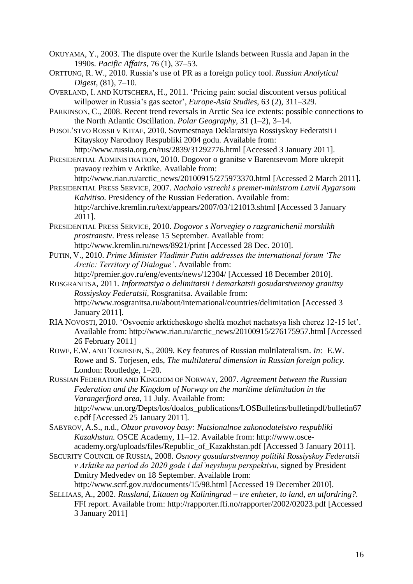- OKUYAMA, Y., 2003. The dispute over the Kurile Islands between Russia and Japan in the 1990s. *Pacific Affairs*, 76 (1), 37–53.
- ORTTUNG, R. W., 2010. Russia's use of PR as a foreign policy tool. *Russian Analytical Digest*, (81), 7–10.
- OVERLAND, I. AND KUTSCHERA, H., 2011. 'Pricing pain: social discontent versus political willpower in Russia's gas sector', *Europe-Asia Studies*, 63 (2), 311–329.
- PARKINSON, C., 2008. Recent trend reversals in Arctic Sea ice extents: possible connections to the North Atlantic Oscillation. *Polar Geography*, 31 (1–2), 3–14.
- POSOL'STVO ROSSII V KITAE, 2010. Sovmestnaya Deklaratsiya Rossiyskoy Federatsii i Kitayskoy Narodnoy Respubliki 2004 godu. Available from: http://www.russia.org.cn/rus/2839/31292776.html [Accessed 3 January 2011].
- PRESIDENTIAL ADMINISTRATION, 2010. Dogovor o granitse v Barentsevom More ukrepit pravaoy rezhim v Arktike. Available from:

http://www.rian.ru/arctic\_news/20100915/275973370.html [Accessed 2 March 2011].

- PRESIDENTIAL PRESS SERVICE, 2007. *Nachalo vstrechi s premer-ministrom Latvii Aygarsom Kalvitiso.* Presidency of the Russian Federation. Available from: http://archive.kremlin.ru/text/appears/2007/03/121013.shtml [Accessed 3 January 2011].
- PRESIDENTIAL PRESS SERVICE, 2010. *Dogovor s Norvegiey o razgranichenii morskikh prostranstv*. Press release 15 September. Available from: http://www.kremlin.ru/news/8921/print [Accessed 28 Dec. 2010].
- PUTIN, V., 2010. *Prime Minister Vladimir Putin addresses the international forum 'The Arctic: Territory of Dialogue'*. Available from:

http://premier.gov.ru/eng/events/news/12304/ [Accessed 18 December 2010].

- ROSGRANITSA, 2011. *Informatsiya o delimitatsii i demarkatsii gosudarstvennoy granitsy Rossiyskoy Federatsii*, Rosgranitsa. Available from: http://www.rosgranitsa.ru/about/international/countries/delimitation [Accessed 3 January 2011].
- RIA NOVOSTI, 2010. 'Osvoenie arkticheskogo shelfa mozhet nachatsya lish cherez 12-15 let'. Available from: http://www.rian.ru/arctic\_news/20100915/276175957.html [Accessed 26 February 2011]
- ROWE, E.W. AND TORJESEN, S., 2009. Key features of Russian multilateralism. *In:* E.W. Rowe and S. Torjesen, eds, *The multilateral dimension in Russian foreign policy.* London: Routledge, 1–20.

RUSSIAN FEDERATION AND KINGDOM OF NORWAY, 2007. *Agreement between the Russian Federation and the Kingdom of Norway on the maritime delimitation in the Varangerfjord area*, 11 July. Available from: http://www.un.org/Depts/los/doalos\_publications/LOSBulletins/bulletinpdf/bulletin67 e.pdf [Accessed 25 January 2011].

- SABYROV, A.S., n.d., *Obzor pravovoy basy: Natsionalnoe zakonodatelstvo respubliki Kazakhstan.* OSCE Academy, 11–12. Available from: http://www.osceacademy.org/uploads/files/Republic of Kazakhstan.pdf [Accessed 3 January 2011].
- SECURITY COUNCIL OF RUSSIA, 2008. *Osnovy gosudarstvennoy politiki Rossiyskoy Federatsii v Arktike na period do 2020 gode i dal'neyshuyu perspektivu*, signed by President Dmitry Medvedev on 18 September. Available from: http://www.scrf.gov.ru/documents/15/98.html [Accessed 19 December 2010].
- SELLIAAS, A., 2002. *Russland, Litauen og Kaliningrad – tre enheter, to land, en utfordring?.*  FFI report. Available from: http://rapporter.ffi.no/rapporter/2002/02023.pdf [Accessed 3 January 2011]